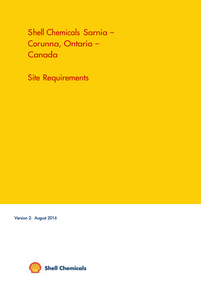Shell Chemicals Sarnia – Corunna, Ontario – **Canada** 

Site Requirements

Version 2: August 2016

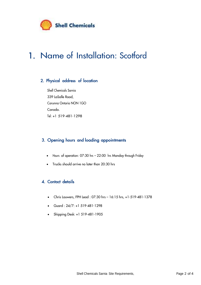

# 1. Name of Installation: Scotford

## 2. Physical address of location

Shell Chemicals Sarnia 339 LaSalle Road, Corunna Ontario NON 1GO Canada. Tel: +1 519-481-1298

## 3. Opening hours and loading appointments

- Hours of operation: 07:30 hrs 22:00 hrs Monday through Friday
- Trucks should arrive no later than 20:30 hrs

## 4. Contact details

- Chris Lauwers, FPH Lead : 07:30 hrs 16:15 hrs, +1-519-481-1378
- Guard:  $24/7: +1 519-481-1298$
- Shipping Desk: +1 519-481-1905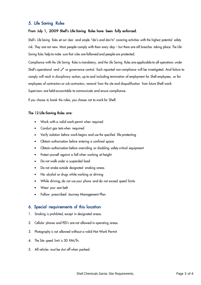### 5. Life Saving Rules

#### From July 1, 2009 Shell's Life-Saving Rules have been fully enforced.

Shell's Life-Saving Rules set out clear and simple "do's and don'ts" covering activities with the highest potential safety risk. They are not new. Most people comply with them every day – but there are still breaches taking place. The Life-Saving Rules help to make sure that rules are followed and people are protected.

Compliance with the Life Saving Rules is mandatory, and the Life Saving Rules are applicable to all operations under Shell's operational and  $\angle$  or governance control. Each reported non-compliance will be investigated. And failure to comply will result in disciplinary action, up to and including termination of employment for Shell employees, or for employees of contractors or sub-contractors, removal from the site and disqualification from future Shell work. Supervisors are held accountable to communicate and ensure compliance.

If you choose to break the rules, you choose not to work for Shell.

#### The 12 Life-Saving Rules are:

- Work with a valid work permit when required
- Conduct gas tests when required
- Verify isolation before work begins and use the specified life protecting
- Obtain authorisation before entering a confined space
- Obtain authorisation before overriding or disabling safety critical equipment
- Protect yourself against a fall when working at height
- Do not walk under a suspended load
- Do not smoke outside designated smoking areas
- No alcohol or drugs while working or driving
- While driving, do not use your phone and do not exceed speed limits
- Wear your seat belt
- Follow prescribed Journey Management Plan

## 6. Special requirements of this location

- 1. Smoking is prohibited, except in designated areas.
- 2. Cellular phones and PED's are not allowed in operating areas.
- 3. Photography is not allowed without a valid Hot Work Permit
- 4. The Site speed limit is 30 KM/h.
- 5. All vehicles must be shut off when parked.